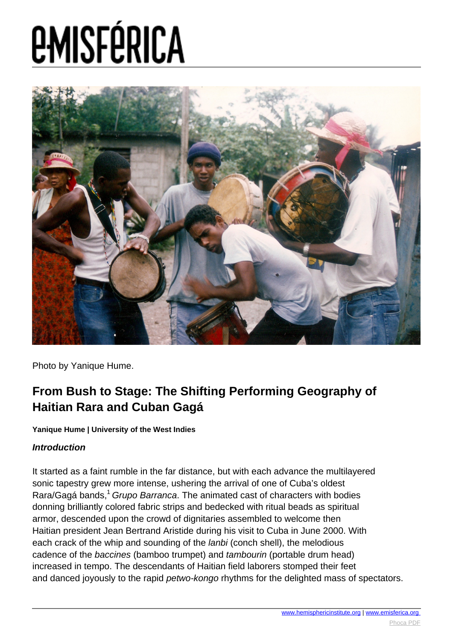

Photo by Yanique Hume.

#### **From Bush to Stage: The Shifting Performing Geography of Haitian Rara and Cuban Gagá**

**Yanique Hume | University of the West Indies**

#### **Introduction**

It started as a faint rumble in the far distance, but with each advance the multilayered sonic tapestry grew more intense, ushering the arrival of one of Cuba's oldest Rara/Gagá bands,<sup>1</sup> Grupo Barranca. The animated cast of characters with bodies donning brilliantly colored fabric strips and bedecked with ritual beads as spiritual armor, descended upon the crowd of dignitaries assembled to welcome then Haitian president Jean Bertrand Aristide during his visit to Cuba in June 2000. With each crack of the whip and sounding of the *lanbi* (conch shell), the melodious cadence of the baccines (bamboo trumpet) and tambourin (portable drum head) increased in tempo. The descendants of Haitian field laborers stomped their feet and danced joyously to the rapid petwo-kongo rhythms for the delighted mass of spectators.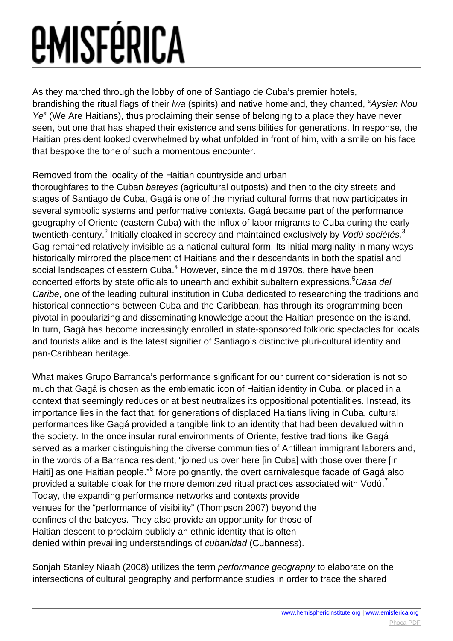As they marched through the lobby of one of Santiago de Cuba's premier hotels,

brandishing the ritual flags of their lwa (spirits) and native homeland, they chanted, "Aysien Nou Ye" (We Are Haitians), thus proclaiming their sense of belonging to a place they have never seen, but one that has shaped their existence and sensibilities for generations. In response, the Haitian president looked overwhelmed by what unfolded in front of him, with a smile on his face that bespoke the tone of such a momentous encounter.

#### Removed from the locality of the Haitian countryside and urban

thoroughfares to the Cuban bateyes (agricultural outposts) and then to the city streets and stages of Santiago de Cuba, Gagá is one of the myriad cultural forms that now participates in several symbolic systems and performative contexts. Gagá became part of the performance geography of Oriente (eastern Cuba) with the influx of labor migrants to Cuba during the early twentieth-century.<sup>2</sup> Initially cloaked in secrecy and maintained exclusively by Vodú sociétés,<sup>3</sup> Gag remained relatively invisible as a national cultural form. Its initial marginality in many ways historically mirrored the placement of Haitians and their descendants in both the spatial and social landscapes of eastern Cuba.<sup>4</sup> However, since the mid 1970s, there have been concerted efforts by state officials to unearth and exhibit subaltern expressions.<sup>5</sup>Casa del Caribe, one of the leading cultural institution in Cuba dedicated to researching the traditions and historical connections between Cuba and the Caribbean, has through its programming been pivotal in popularizing and disseminating knowledge about the Haitian presence on the island. In turn, Gagá has become increasingly enrolled in state-sponsored folkloric spectacles for locals and tourists alike and is the latest signifier of Santiago's distinctive pluri-cultural identity and pan-Caribbean heritage.

What makes Grupo Barranca's performance significant for our current consideration is not so much that Gagá is chosen as the emblematic icon of Haitian identity in Cuba, or placed in a context that seemingly reduces or at best neutralizes its oppositional potentialities. Instead, its importance lies in the fact that, for generations of displaced Haitians living in Cuba, cultural performances like Gagá provided a tangible link to an identity that had been devalued within the society. In the once insular rural environments of Oriente, festive traditions like Gagá served as a marker distinguishing the diverse communities of Antillean immigrant laborers and, in the words of a Barranca resident, "joined us over here [in Cuba] with those over there [in Haiti] as one Haitian people."<sup>6</sup> More poignantly, the overt carnivalesque facade of Gagá also provided a suitable cloak for the more demonized ritual practices associated with Vodú.<sup>7</sup> Today, the expanding performance networks and contexts provide venues for the "performance of visibility" (Thompson 2007) beyond the confines of the bateyes. They also provide an opportunity for those of Haitian descent to proclaim publicly an ethnic identity that is often denied within prevailing understandings of cubanidad (Cubanness).

Sonjah Stanley Niaah (2008) utilizes the term performance geography to elaborate on the intersections of cultural geography and performance studies in order to trace the shared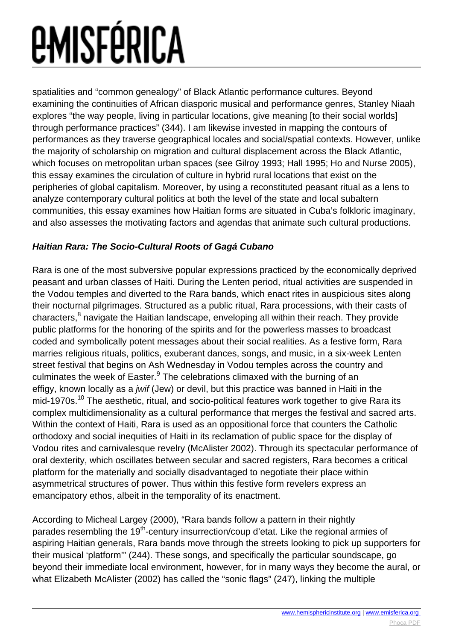spatialities and "common genealogy" of Black Atlantic performance cultures. Beyond examining the continuities of African diasporic musical and performance genres, Stanley Niaah explores "the way people, living in particular locations, give meaning [to their social worlds] through performance practices" (344). I am likewise invested in mapping the contours of performances as they traverse geographical locales and social/spatial contexts. However, unlike the majority of scholarship on migration and cultural displacement across the Black Atlantic, which focuses on metropolitan urban spaces (see Gilroy 1993; Hall 1995; Ho and Nurse 2005), this essay examines the circulation of culture in hybrid rural locations that exist on the peripheries of global capitalism. Moreover, by using a reconstituted peasant ritual as a lens to analyze contemporary cultural politics at both the level of the state and local subaltern communities, this essay examines how Haitian forms are situated in Cuba's folkloric imaginary, and also assesses the motivating factors and agendas that animate such cultural productions.

#### **Haitian Rara: The Socio-Cultural Roots of Gagá Cubano**

Rara is one of the most subversive popular expressions practiced by the economically deprived peasant and urban classes of Haiti. During the Lenten period, ritual activities are suspended in the Vodou temples and diverted to the Rara bands, which enact rites in auspicious sites along their nocturnal pilgrimages. Structured as a public ritual, Rara processions, with their casts of characters,<sup>8</sup> navigate the Haitian landscape, enveloping all within their reach. They provide public platforms for the honoring of the spirits and for the powerless masses to broadcast coded and symbolically potent messages about their social realities. As a festive form, Rara marries religious rituals, politics, exuberant dances, songs, and music, in a six-week Lenten street festival that begins on Ash Wednesday in Vodou temples across the country and culminates the week of Easter.<sup>9</sup> The celebrations climaxed with the burning of an effigy, known locally as a jwif (Jew) or devil, but this practice was banned in Haiti in the mid-1970s.<sup>10</sup> The aesthetic, ritual, and socio-political features work together to give Rara its complex multidimensionality as a cultural performance that merges the festival and sacred arts. Within the context of Haiti, Rara is used as an oppositional force that counters the Catholic orthodoxy and social inequities of Haiti in its reclamation of public space for the display of Vodou rites and carnivalesque revelry (McAlister 2002). Through its spectacular performance of oral dexterity, which oscillates between secular and sacred registers, Rara becomes a critical platform for the materially and socially disadvantaged to negotiate their place within asymmetrical structures of power. Thus within this festive form revelers express an emancipatory ethos, albeit in the temporality of its enactment.

According to Micheal Largey (2000), "Rara bands follow a pattern in their nightly parades resembling the 19<sup>th</sup>-century insurrection/coup d'etat. Like the regional armies of aspiring Haitian generals, Rara bands move through the streets looking to pick up supporters for their musical 'platform'" (244). These songs, and specifically the particular soundscape, go beyond their immediate local environment, however, for in many ways they become the aural, or what Elizabeth McAlister (2002) has called the "sonic flags" (247), linking the multiple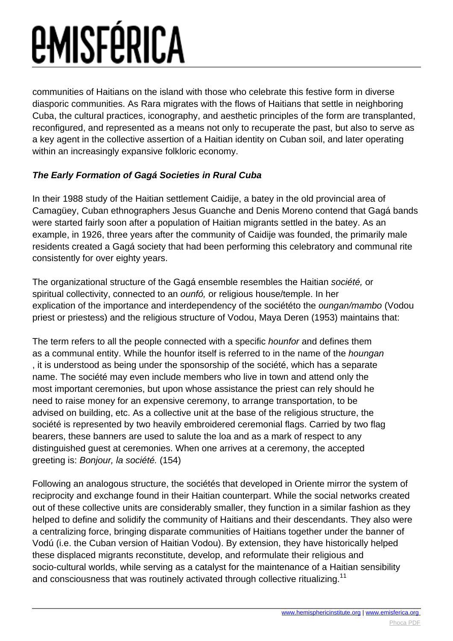communities of Haitians on the island with those who celebrate this festive form in diverse diasporic communities. As Rara migrates with the flows of Haitians that settle in neighboring Cuba, the cultural practices, iconography, and aesthetic principles of the form are transplanted, reconfigured, and represented as a means not only to recuperate the past, but also to serve as a key agent in the collective assertion of a Haitian identity on Cuban soil, and later operating within an increasingly expansive folkloric economy.

#### **The Early Formation of Gagá Societies in Rural Cuba**

In their 1988 study of the Haitian settlement Caidije, a batey in the old provincial area of Camagüey, Cuban ethnographers Jesus Guanche and Denis Moreno contend that Gagá bands were started fairly soon after a population of Haitian migrants settled in the batey. As an example, in 1926, three years after the community of Caidije was founded, the primarily male residents created a Gagá society that had been performing this celebratory and communal rite consistently for over eighty years.

The organizational structure of the Gagá ensemble resembles the Haitian société, or spiritual collectivity, connected to an *ounfó*, or religious house/temple. In her explication of the importance and interdependency of the sociététo the oungan/mambo (Vodou priest or priestess) and the religious structure of Vodou, Maya Deren (1953) maintains that:

The term refers to all the people connected with a specific hounfor and defines them as a communal entity. While the hounfor itself is referred to in the name of the houngan , it is understood as being under the sponsorship of the société, which has a separate name. The société may even include members who live in town and attend only the most important ceremonies, but upon whose assistance the priest can rely should he need to raise money for an expensive ceremony, to arrange transportation, to be advised on building, etc. As a collective unit at the base of the religious structure, the société is represented by two heavily embroidered ceremonial flags. Carried by two flag bearers, these banners are used to salute the loa and as a mark of respect to any distinguished guest at ceremonies. When one arrives at a ceremony, the accepted greeting is: Bonjour, la société. (154)

Following an analogous structure, the sociétés that developed in Oriente mirror the system of reciprocity and exchange found in their Haitian counterpart. While the social networks created out of these collective units are considerably smaller, they function in a similar fashion as they helped to define and solidify the community of Haitians and their descendants. They also were a centralizing force, bringing disparate communities of Haitians together under the banner of Vodú (i.e. the Cuban version of Haitian Vodou). By extension, they have historically helped these displaced migrants reconstitute, develop, and reformulate their religious and socio-cultural worlds, while serving as a catalyst for the maintenance of a Haitian sensibility and consciousness that was routinely activated through collective ritualizing.<sup>11</sup>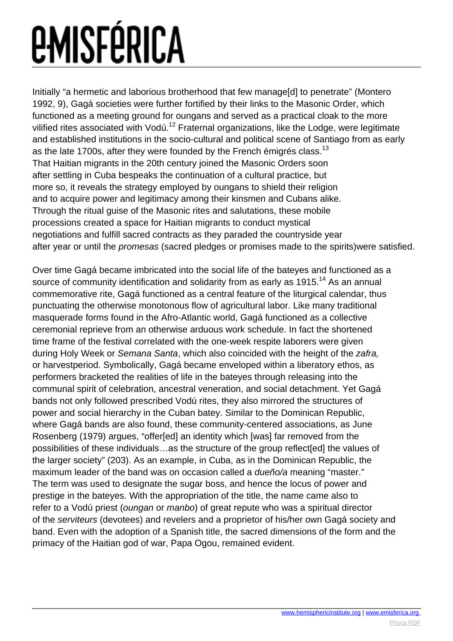Initially "a hermetic and laborious brotherhood that few manage[d] to penetrate" (Montero 1992, 9), Gagá societies were further fortified by their links to the Masonic Order, which functioned as a meeting ground for oungans and served as a practical cloak to the more vilified rites associated with Vodú.<sup>12</sup> Fraternal organizations, like the Lodge, were legitimate and established institutions in the socio-cultural and political scene of Santiago from as early as the late 1700s, after they were founded by the French émigrés class.<sup>13</sup> That Haitian migrants in the 20th century joined the Masonic Orders soon after settling in Cuba bespeaks the continuation of a cultural practice, but more so, it reveals the strategy employed by oungans to shield their religion and to acquire power and legitimacy among their kinsmen and Cubans alike. Through the ritual guise of the Masonic rites and salutations, these mobile processions created a space for Haitian migrants to conduct mystical negotiations and fulfill sacred contracts as they paraded the countryside year after year or until the promesas (sacred pledges or promises made to the spirits)were satisfied.

Over time Gagá became imbricated into the social life of the bateyes and functioned as a source of community identification and solidarity from as early as 1915.<sup>14</sup> As an annual commemorative rite, Gagá functioned as a central feature of the liturgical calendar, thus punctuating the otherwise monotonous flow of agricultural labor. Like many traditional masquerade forms found in the Afro-Atlantic world, Gagá functioned as a collective ceremonial reprieve from an otherwise arduous work schedule. In fact the shortened time frame of the festival correlated with the one-week respite laborers were given during Holy Week or Semana Santa, which also coincided with the height of the zafra. or harvestperiod. Symbolically, Gagá became enveloped within a liberatory ethos, as performers bracketed the realities of life in the bateyes through releasing into the communal spirit of celebration, ancestral veneration, and social detachment. Yet Gagá bands not only followed prescribed Vodú rites, they also mirrored the structures of power and social hierarchy in the Cuban batey. Similar to the Dominican Republic, where Gagá bands are also found, these community-centered associations, as June Rosenberg (1979) argues, "offer[ed] an identity which [was] far removed from the possibilities of these individuals…as the structure of the group reflect[ed] the values of the larger society" (203). As an example, in Cuba, as in the Dominican Republic, the maximum leader of the band was on occasion called a *dueño/a* meaning "master." The term was used to designate the sugar boss, and hence the locus of power and prestige in the bateyes. With the appropriation of the title, the name came also to refer to a Vodú priest (oungan or manbo) of great repute who was a spiritual director of the serviteurs (devotees) and revelers and a proprietor of his/her own Gagá society and band. Even with the adoption of a Spanish title, the sacred dimensions of the form and the primacy of the Haitian god of war, Papa Ogou, remained evident.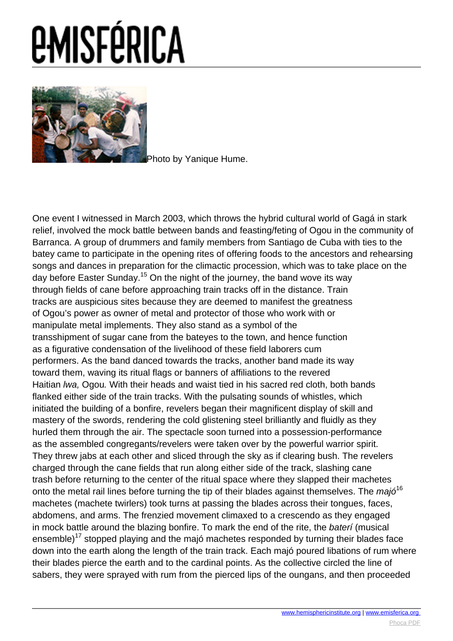

[P](images/e-misferica/11.2_images/112_lg_hume_01.jpg)hoto by Yanique Hume.

One event I witnessed in March 2003, which throws the hybrid cultural world of Gagá in stark relief, involved the mock battle between bands and feasting/feting of Ogou in the community of Barranca. A group of drummers and family members from Santiago de Cuba with ties to the batey came to participate in the opening rites of offering foods to the ancestors and rehearsing songs and dances in preparation for the climactic procession, which was to take place on the day before Easter Sunday.<sup>15</sup> On the night of the journey, the band wove its way through fields of cane before approaching train tracks off in the distance. Train tracks are auspicious sites because they are deemed to manifest the greatness of Ogou's power as owner of metal and protector of those who work with or manipulate metal implements. They also stand as a symbol of the transshipment of sugar cane from the bateyes to the town, and hence function as a figurative condensation of the livelihood of these field laborers cum performers. As the band danced towards the tracks, another band made its way toward them, waving its ritual flags or banners of affiliations to the revered Haitian lwa, Ogou. With their heads and waist tied in his sacred red cloth, both bands flanked either side of the train tracks. With the pulsating sounds of whistles, which initiated the building of a bonfire, revelers began their magnificent display of skill and mastery of the swords, rendering the cold glistening steel brilliantly and fluidly as they hurled them through the air. The spectacle soon turned into a possession-performance as the assembled congregants/revelers were taken over by the powerful warrior spirit. They threw jabs at each other and sliced through the sky as if clearing bush. The revelers charged through the cane fields that run along either side of the track, slashing cane trash before returning to the center of the ritual space where they slapped their machetes onto the metal rail lines before turning the tip of their blades against themselves. The majó<sup>16</sup> machetes (machete twirlers) took turns at passing the blades across their tongues, faces, abdomens, and arms. The frenzied movement climaxed to a crescendo as they engaged in mock battle around the blazing bonfire. To mark the end of the rite, the bateri (musical ensemble)<sup>17</sup> stopped playing and the majó machetes responded by turning their blades face down into the earth along the length of the train track. Each majó poured libations of rum where their blades pierce the earth and to the cardinal points. As the collective circled the line of sabers, they were sprayed with rum from the pierced lips of the oungans, and then proceeded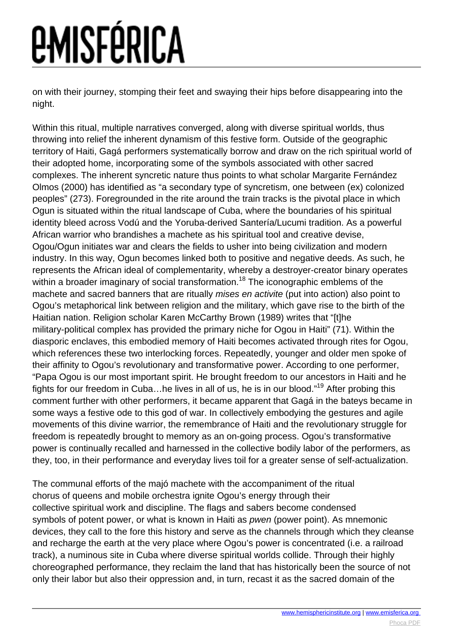on with their journey, stomping their feet and swaying their hips before disappearing into the night.

Within this ritual, multiple narratives converged, along with diverse spiritual worlds, thus throwing into relief the inherent dynamism of this festive form. Outside of the geographic territory of Haiti, Gagá performers systematically borrow and draw on the rich spiritual world of their adopted home, incorporating some of the symbols associated with other sacred complexes. The inherent syncretic nature thus points to what scholar Margarite Fernández Olmos (2000) has identified as "a secondary type of syncretism, one between (ex) colonized peoples" (273). Foregrounded in the rite around the train tracks is the pivotal place in which Ogun is situated within the ritual landscape of Cuba, where the boundaries of his spiritual identity bleed across Vodú and the Yoruba-derived Santería/Lucumi tradition. As a powerful African warrior who brandishes a machete as his spiritual tool and creative devise, Ogou/Ogun initiates war and clears the fields to usher into being civilization and modern industry. In this way, Ogun becomes linked both to positive and negative deeds. As such, he represents the African ideal of complementarity, whereby a destroyer-creator binary operates within a broader imaginary of social transformation.<sup>18</sup> The iconographic emblems of the machete and sacred banners that are ritually mises en activite (put into action) also point to Ogou's metaphorical link between religion and the military, which gave rise to the birth of the Haitian nation. Religion scholar Karen McCarthy Brown (1989) writes that "[t]he military-political complex has provided the primary niche for Ogou in Haiti" (71). Within the diasporic enclaves, this embodied memory of Haiti becomes activated through rites for Ogou, which references these two interlocking forces. Repeatedly, younger and older men spoke of their affinity to Ogou's revolutionary and transformative power. According to one performer, "Papa Ogou is our most important spirit. He brought freedom to our ancestors in Haiti and he fights for our freedom in Cuba…he lives in all of us, he is in our blood."<sup>19</sup> After probing this comment further with other performers, it became apparent that Gagá in the bateys became in some ways a festive ode to this god of war. In collectively embodying the gestures and agile movements of this divine warrior, the remembrance of Haiti and the revolutionary struggle for freedom is repeatedly brought to memory as an on-going process. Ogou's transformative power is continually recalled and harnessed in the collective bodily labor of the performers, as they, too, in their performance and everyday lives toil for a greater sense of self-actualization.

The communal efforts of the majó machete with the accompaniment of the ritual chorus of queens and mobile orchestra ignite Ogou's energy through their collective spiritual work and discipline. The flags and sabers become condensed symbols of potent power, or what is known in Haiti as *pwen* (power point). As mnemonic devices, they call to the fore this history and serve as the channels through which they cleanse and recharge the earth at the very place where Ogou's power is concentrated (i.e. a railroad track), a numinous site in Cuba where diverse spiritual worlds collide. Through their highly choreographed performance, they reclaim the land that has historically been the source of not only their labor but also their oppression and, in turn, recast it as the sacred domain of the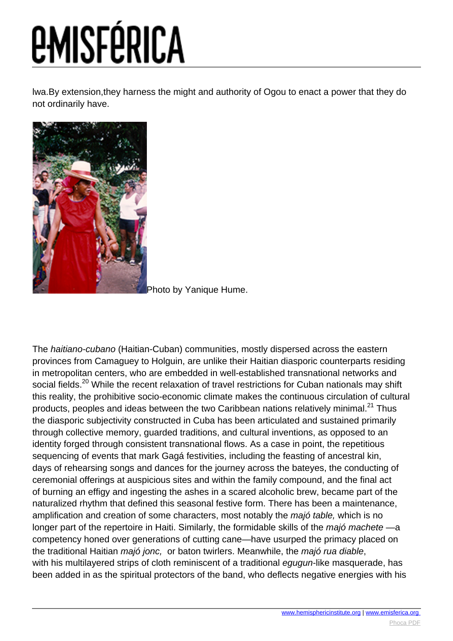lwa.By extension,they harness the might and authority of Ogou to enact a power that they do not ordinarily have.



[P](images/e-misferica/11.2_images/112_lg_hume_02.jpg)hoto by Yanique Hume.

The haitiano-cubano (Haitian-Cuban) communities, mostly dispersed across the eastern provinces from Camaguey to Holguin, are unlike their Haitian diasporic counterparts residing in metropolitan centers, who are embedded in well-established transnational networks and social fields.<sup>20</sup> While the recent relaxation of travel restrictions for Cuban nationals may shift this reality, the prohibitive socio-economic climate makes the continuous circulation of cultural products, peoples and ideas between the two Caribbean nations relatively minimal.<sup>21</sup> Thus the diasporic subjectivity constructed in Cuba has been articulated and sustained primarily through collective memory, guarded traditions, and cultural inventions, as opposed to an identity forged through consistent transnational flows. As a case in point, the repetitious sequencing of events that mark Gagá festivities, including the feasting of ancestral kin, days of rehearsing songs and dances for the journey across the bateyes, the conducting of ceremonial offerings at auspicious sites and within the family compound, and the final act of burning an effigy and ingesting the ashes in a scared alcoholic brew, became part of the naturalized rhythm that defined this seasonal festive form. There has been a maintenance, amplification and creation of some characters, most notably the majó table, which is no longer part of the repertoire in Haiti. Similarly, the formidable skills of the majó machete —a competency honed over generations of cutting cane—have usurped the primacy placed on the traditional Haitian majó jonc, or baton twirlers. Meanwhile, the majó rua diable, with his multilayered strips of cloth reminiscent of a traditional equan-like masquerade, has been added in as the spiritual protectors of the band, who deflects negative energies with his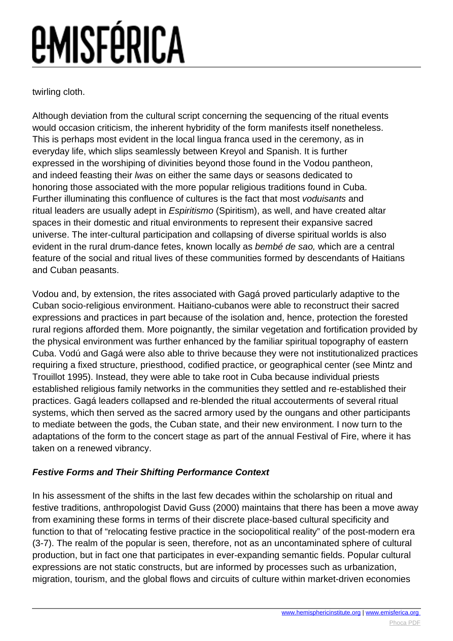twirling cloth.

Although deviation from the cultural script concerning the sequencing of the ritual events would occasion criticism, the inherent hybridity of the form manifests itself nonetheless. This is perhaps most evident in the local lingua franca used in the ceremony, as in everyday life, which slips seamlessly between Kreyol and Spanish. It is further expressed in the worshiping of divinities beyond those found in the Vodou pantheon, and indeed feasting their lwas on either the same days or seasons dedicated to honoring those associated with the more popular religious traditions found in Cuba. Further illuminating this confluence of cultures is the fact that most voduisants and ritual leaders are usually adept in *Espiritismo* (Spiritism), as well, and have created altar spaces in their domestic and ritual environments to represent their expansive sacred universe. The inter-cultural participation and collapsing of diverse spiritual worlds is also evident in the rural drum-dance fetes, known locally as bembé de sao, which are a central feature of the social and ritual lives of these communities formed by descendants of Haitians and Cuban peasants.

Vodou and, by extension, the rites associated with Gagá proved particularly adaptive to the Cuban socio-religious environment. Haitiano-cubanos were able to reconstruct their sacred expressions and practices in part because of the isolation and, hence, protection the forested rural regions afforded them. More poignantly, the similar vegetation and fortification provided by the physical environment was further enhanced by the familiar spiritual topography of eastern Cuba. Vodú and Gagá were also able to thrive because they were not institutionalized practices requiring a fixed structure, priesthood, codified practice, or geographical center (see Mintz and Trouillot 1995). Instead, they were able to take root in Cuba because individual priests established religious family networks in the communities they settled and re-established their practices. Gagá leaders collapsed and re-blended the ritual accouterments of several ritual systems, which then served as the sacred armory used by the oungans and other participants to mediate between the gods, the Cuban state, and their new environment. I now turn to the adaptations of the form to the concert stage as part of the annual Festival of Fire, where it has taken on a renewed vibrancy.

#### **Festive Forms and Their Shifting Performance Context**

In his assessment of the shifts in the last few decades within the scholarship on ritual and festive traditions, anthropologist David Guss (2000) maintains that there has been a move away from examining these forms in terms of their discrete place-based cultural specificity and function to that of "relocating festive practice in the sociopolitical reality" of the post-modern era (3-7). The realm of the popular is seen, therefore, not as an uncontaminated sphere of cultural production, but in fact one that participates in ever-expanding semantic fields. Popular cultural expressions are not static constructs, but are informed by processes such as urbanization, migration, tourism, and the global flows and circuits of culture within market-driven economies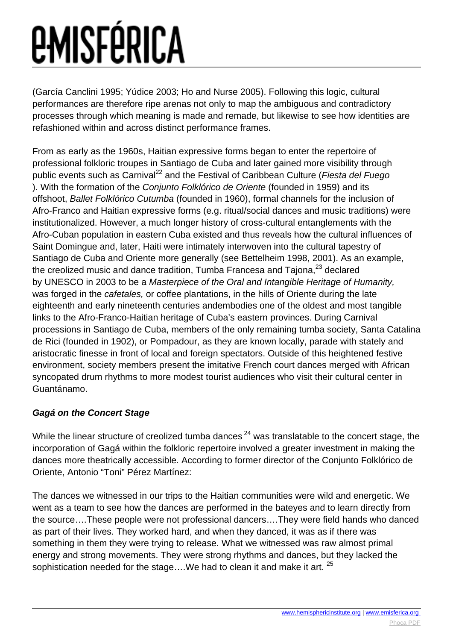(García Canclini 1995; Yúdice 2003; Ho and Nurse 2005). Following this logic, cultural performances are therefore ripe arenas not only to map the ambiguous and contradictory processes through which meaning is made and remade, but likewise to see how identities are refashioned within and across distinct performance frames.

From as early as the 1960s, Haitian expressive forms began to enter the repertoire of professional folkloric troupes in Santiago de Cuba and later gained more visibility through public events such as Carnival<sup>22</sup> and the Festival of Caribbean Culture (*Fiesta del Fuego*) ). With the formation of the Conjunto Folklórico de Oriente (founded in 1959) and its offshoot, Ballet Folklórico Cutumba (founded in 1960), formal channels for the inclusion of Afro-Franco and Haitian expressive forms (e.g. ritual/social dances and music traditions) were institutionalized. However, a much longer history of cross-cultural entanglements with the Afro-Cuban population in eastern Cuba existed and thus reveals how the cultural influences of Saint Domingue and, later, Haiti were intimately interwoven into the cultural tapestry of Santiago de Cuba and Oriente more generally (see Bettelheim 1998, 2001). As an example, the creolized music and dance tradition, Tumba Francesa and Tajona,<sup>23</sup> declared by UNESCO in 2003 to be a Masterpiece of the Oral and Intangible Heritage of Humanity, was forged in the cafetales, or coffee plantations, in the hills of Oriente during the late eighteenth and early nineteenth centuries andembodies one of the oldest and most tangible links to the Afro-Franco-Haitian heritage of Cuba's eastern provinces. During Carnival processions in Santiago de Cuba, members of the only remaining tumba society, Santa Catalina de Rici (founded in 1902), or Pompadour, as they are known locally, parade with stately and aristocratic finesse in front of local and foreign spectators. Outside of this heightened festive environment, society members present the imitative French court dances merged with African syncopated drum rhythms to more modest tourist audiences who visit their cultural center in Guantánamo.

#### **Gagá on the Concert Stage**

While the linear structure of creolized tumba dances<sup>24</sup> was translatable to the concert stage, the incorporation of Gagá within the folkloric repertoire involved a greater investment in making the dances more theatrically accessible. According to former director of the Conjunto Folklórico de Oriente, Antonio "Toni" Pérez Martínez:

The dances we witnessed in our trips to the Haitian communities were wild and energetic. We went as a team to see how the dances are performed in the bateyes and to learn directly from the source….These people were not professional dancers….They were field hands who danced as part of their lives. They worked hard, and when they danced, it was as if there was something in them they were trying to release. What we witnessed was raw almost primal energy and strong movements. They were strong rhythms and dances, but they lacked the sophistication needed for the stage....We had to clean it and make it art. <sup>25</sup>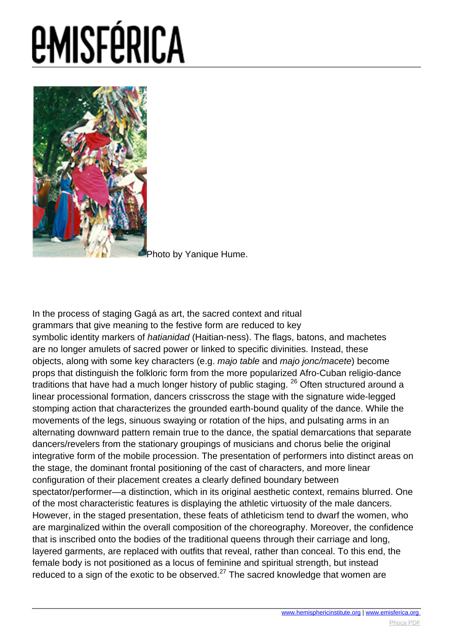

[P](images/e-misferica/11.2_images/112_lg_hume_03.jpg)hoto by Yanique Hume.

In the process of staging Gagá as art, the sacred context and ritual grammars that give meaning to the festive form are reduced to key symbolic identity markers of *hatianidad* (Haitian-ness). The flags, batons, and machetes are no longer amulets of sacred power or linked to specific divinities. Instead, these objects, along with some key characters (e.g. majo table and majo jonc/macete) become props that distinguish the folkloric form from the more popularized Afro-Cuban religio-dance traditions that have had a much longer history of public staging. <sup>26</sup> Often structured around a linear processional formation, dancers crisscross the stage with the signature wide-legged stomping action that characterizes the grounded earth-bound quality of the dance. While the movements of the legs, sinuous swaying or rotation of the hips, and pulsating arms in an alternating downward pattern remain true to the dance, the spatial demarcations that separate dancers/revelers from the stationary groupings of musicians and chorus belie the original integrative form of the mobile procession. The presentation of performers into distinct areas on the stage, the dominant frontal positioning of the cast of characters, and more linear configuration of their placement creates a clearly defined boundary between spectator/performer—a distinction, which in its original aesthetic context, remains blurred. One of the most characteristic features is displaying the athletic virtuosity of the male dancers. However, in the staged presentation, these feats of athleticism tend to dwarf the women, who are marginalized within the overall composition of the choreography. Moreover, the confidence that is inscribed onto the bodies of the traditional queens through their carriage and long, layered garments, are replaced with outfits that reveal, rather than conceal. To this end, the female body is not positioned as a locus of feminine and spiritual strength, but instead reduced to a sign of the exotic to be observed. $27$  The sacred knowledge that women are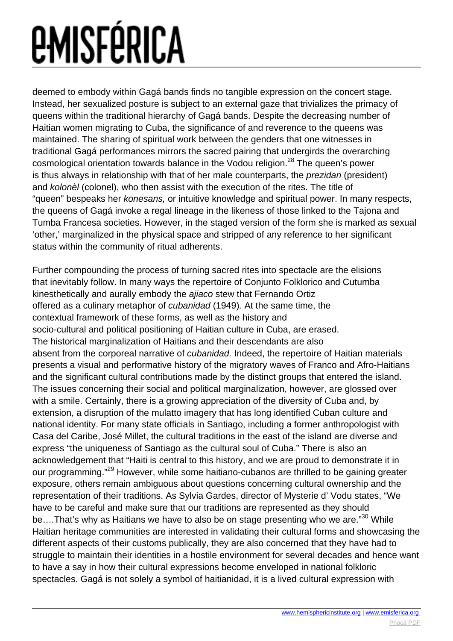deemed to embody within Gagá bands finds no tangible expression on the concert stage. Instead, her sexualized posture is subject to an external gaze that trivializes the primacy of queens within the traditional hierarchy of Gagá bands. Despite the decreasing number of Haitian women migrating to Cuba, the significance of and reverence to the queens was maintained. The sharing of spiritual work between the genders that one witnesses in traditional Gagá performances mirrors the sacred pairing that undergirds the overarching cosmological orientation towards balance in the Vodou religion.<sup>28</sup> The queen's power is thus always in relationship with that of her male counterparts, the prezidan (president) and kolonèl (colonel), who then assist with the execution of the rites. The title of "queen" bespeaks her konesans, or intuitive knowledge and spiritual power. In many respects, the queens of Gagá invoke a regal lineage in the likeness of those linked to the Tajona and Tumba Francesa societies. However, in the staged version of the form she is marked as sexual 'other,' marginalized in the physical space and stripped of any reference to her significant status within the community of ritual adherents.

Further compounding the process of turning sacred rites into spectacle are the elisions that inevitably follow. In many ways the repertoire of Conjunto Folklorico and Cutumba kinesthetically and aurally embody the ajiaco stew that Fernando Ortiz offered as a culinary metaphor of cubanidad (1949). At the same time, the contextual framework of these forms, as well as the history and socio-cultural and political positioning of Haitian culture in Cuba, are erased. The historical marginalization of Haitians and their descendants are also absent from the corporeal narrative of cubanidad. Indeed, the repertoire of Haitian materials presents a visual and performative history of the migratory waves of Franco and Afro-Haitians and the significant cultural contributions made by the distinct groups that entered the island. The issues concerning their social and political marginalization, however, are glossed over with a smile. Certainly, there is a growing appreciation of the diversity of Cuba and, by extension, a disruption of the mulatto imagery that has long identified Cuban culture and national identity. For many state officials in Santiago, including a former anthropologist with Casa del Caribe, José Millet, the cultural traditions in the east of the island are diverse and express "the uniqueness of Santiago as the cultural soul of Cuba." There is also an acknowledgement that "Haiti is central to this history, and we are proud to demonstrate it in our programming."<sup>29</sup> However, while some haitiano-cubanos are thrilled to be gaining greater exposure, others remain ambiguous about questions concerning cultural ownership and the representation of their traditions. As Sylvia Gardes, director of Mysterie d' Vodu states, "We have to be careful and make sure that our traditions are represented as they should be....That's why as Haitians we have to also be on stage presenting who we are."<sup>30</sup> While Haitian heritage communities are interested in validating their cultural forms and showcasing the different aspects of their customs publically, they are also concerned that they have had to struggle to maintain their identities in a hostile environment for several decades and hence want to have a say in how their cultural expressions become enveloped in national folkloric spectacles. Gagá is not solely a symbol of haitianidad, it is a lived cultural expression with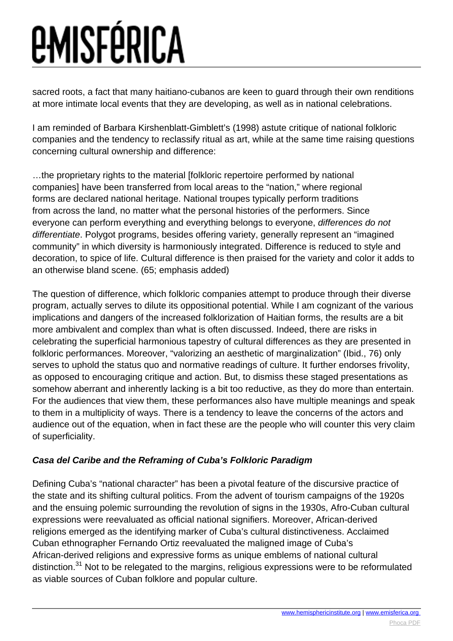sacred roots, a fact that many haitiano-cubanos are keen to guard through their own renditions at more intimate local events that they are developing, as well as in national celebrations.

I am reminded of Barbara Kirshenblatt-Gimblett's (1998) astute critique of national folkloric companies and the tendency to reclassify ritual as art, while at the same time raising questions concerning cultural ownership and difference:

…the proprietary rights to the material [folkloric repertoire performed by national companies] have been transferred from local areas to the "nation," where regional forms are declared national heritage. National troupes typically perform traditions from across the land, no matter what the personal histories of the performers. Since everyone can perform everything and everything belongs to everyone, differences do not differentiate. Polygot programs, besides offering variety, generally represent an "imagined community" in which diversity is harmoniously integrated. Difference is reduced to style and decoration, to spice of life. Cultural difference is then praised for the variety and color it adds to an otherwise bland scene. (65; emphasis added)

The question of difference, which folkloric companies attempt to produce through their diverse program, actually serves to dilute its oppositional potential. While I am cognizant of the various implications and dangers of the increased folklorization of Haitian forms, the results are a bit more ambivalent and complex than what is often discussed. Indeed, there are risks in celebrating the superficial harmonious tapestry of cultural differences as they are presented in folkloric performances. Moreover, "valorizing an aesthetic of marginalization" (Ibid., 76) only serves to uphold the status quo and normative readings of culture. It further endorses frivolity, as opposed to encouraging critique and action. But, to dismiss these staged presentations as somehow aberrant and inherently lacking is a bit too reductive, as they do more than entertain. For the audiences that view them, these performances also have multiple meanings and speak to them in a multiplicity of ways. There is a tendency to leave the concerns of the actors and audience out of the equation, when in fact these are the people who will counter this very claim of superficiality.

#### **Casa del Caribe and the Reframing of Cuba's Folkloric Paradigm**

Defining Cuba's "national character" has been a pivotal feature of the discursive practice of the state and its shifting cultural politics. From the advent of tourism campaigns of the 1920s and the ensuing polemic surrounding the revolution of signs in the 1930s, Afro-Cuban cultural expressions were reevaluated as official national signifiers. Moreover, African-derived religions emerged as the identifying marker of Cuba's cultural distinctiveness. Acclaimed Cuban ethnographer Fernando Ortiz reevaluated the maligned image of Cuba's African-derived religions and expressive forms as unique emblems of national cultural distinction.<sup>31</sup> Not to be relegated to the margins, religious expressions were to be reformulated as viable sources of Cuban folklore and popular culture.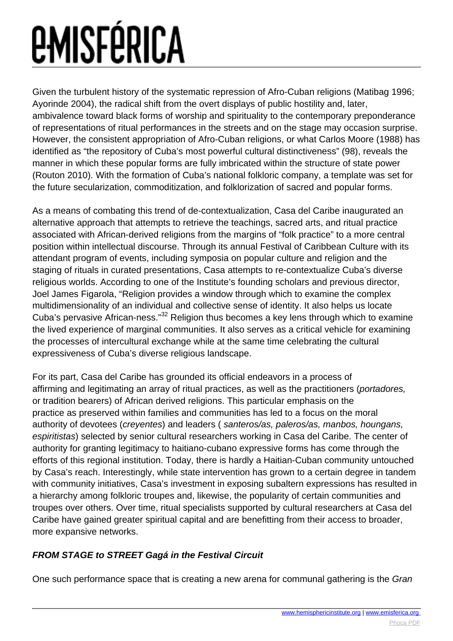Given the turbulent history of the systematic repression of Afro-Cuban religions (Matibag 1996; Ayorinde 2004), the radical shift from the overt displays of public hostility and, later, ambivalence toward black forms of worship and spirituality to the contemporary preponderance of representations of ritual performances in the streets and on the stage may occasion surprise. However, the consistent appropriation of Afro-Cuban religions, or what Carlos Moore (1988) has identified as "the repository of Cuba's most powerful cultural distinctiveness" (98), reveals the manner in which these popular forms are fully imbricated within the structure of state power (Routon 2010). With the formation of Cuba's national folkloric company, a template was set for the future secularization, commoditization, and folklorization of sacred and popular forms.

As a means of combating this trend of de-contextualization, Casa del Caribe inaugurated an alternative approach that attempts to retrieve the teachings, sacred arts, and ritual practice associated with African-derived religions from the margins of "folk practice" to a more central position within intellectual discourse. Through its annual Festival of Caribbean Culture with its attendant program of events, including symposia on popular culture and religion and the staging of rituals in curated presentations, Casa attempts to re-contextualize Cuba's diverse religious worlds. According to one of the Institute's founding scholars and previous director, Joel James Figarola, "Religion provides a window through which to examine the complex multidimensionality of an individual and collective sense of identity. It also helps us locate Cuba's pervasive African-ness."<sup>32</sup> Religion thus becomes a key lens through which to examine the lived experience of marginal communities. It also serves as a critical vehicle for examining the processes of intercultural exchange while at the same time celebrating the cultural expressiveness of Cuba's diverse religious landscape.

For its part, Casa del Caribe has grounded its official endeavors in a process of affirming and legitimating an array of ritual practices, as well as the practitioners (portadores, or tradition bearers) of African derived religions. This particular emphasis on the practice as preserved within families and communities has led to a focus on the moral authority of devotees (creyentes) and leaders ( santeros/as, paleros/as, manbos, houngans, espiritistas) selected by senior cultural researchers working in Casa del Caribe. The center of authority for granting legitimacy to haitiano-cubano expressive forms has come through the efforts of this regional institution. Today, there is hardly a Haitian-Cuban community untouched by Casa's reach. Interestingly, while state intervention has grown to a certain degree in tandem with community initiatives, Casa's investment in exposing subaltern expressions has resulted in a hierarchy among folkloric troupes and, likewise, the popularity of certain communities and troupes over others. Over time, ritual specialists supported by cultural researchers at Casa del Caribe have gained greater spiritual capital and are benefitting from their access to broader, more expansive networks.

#### **FROM STAGE to STREET Gagá in the Festival Circuit**

One such performance space that is creating a new arena for communal gathering is the Gran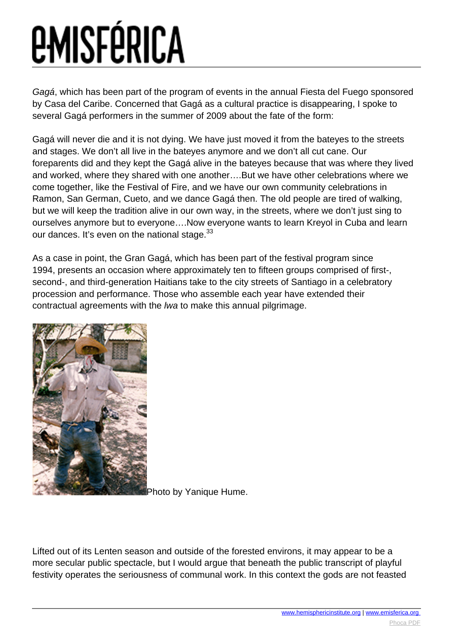Gagá, which has been part of the program of events in the annual Fiesta del Fuego sponsored by Casa del Caribe. Concerned that Gagá as a cultural practice is disappearing, I spoke to several Gagá performers in the summer of 2009 about the fate of the form:

Gagá will never die and it is not dying. We have just moved it from the bateyes to the streets and stages. We don't all live in the bateyes anymore and we don't all cut cane. Our foreparents did and they kept the Gagá alive in the bateyes because that was where they lived and worked, where they shared with one another….But we have other celebrations where we come together, like the Festival of Fire, and we have our own community celebrations in Ramon, San German, Cueto, and we dance Gagá then. The old people are tired of walking, but we will keep the tradition alive in our own way, in the streets, where we don't just sing to ourselves anymore but to everyone….Now everyone wants to learn Kreyol in Cuba and learn our dances. It's even on the national stage.  $33$ 

As a case in point, the Gran Gagá, which has been part of the festival program since 1994, presents an occasion where approximately ten to fifteen groups comprised of first-, second-, and third-generation Haitians take to the city streets of Santiago in a celebratory procession and performance. Those who assemble each year have extended their contractual agreements with the lwa to make this annual pilgrimage.



[P](images/e-misferica/11.2_images/112_lg_hume_04.jpg)hoto by Yanique Hume.

Lifted out of its Lenten season and outside of the forested environs, it may appear to be a more secular public spectacle, but I would argue that beneath the public transcript of playful festivity operates the seriousness of communal work. In this context the gods are not feasted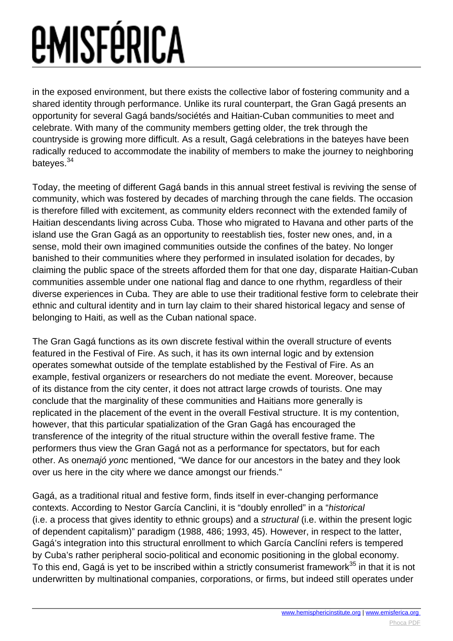in the exposed environment, but there exists the collective labor of fostering community and a shared identity through performance. Unlike its rural counterpart, the Gran Gagá presents an opportunity for several Gagá bands/sociétés and Haitian-Cuban communities to meet and celebrate. With many of the community members getting older, the trek through the countryside is growing more difficult. As a result, Gagá celebrations in the bateyes have been radically reduced to accommodate the inability of members to make the journey to neighboring bateves.<sup>34</sup>

Today, the meeting of different Gagá bands in this annual street festival is reviving the sense of community, which was fostered by decades of marching through the cane fields. The occasion is therefore filled with excitement, as community elders reconnect with the extended family of Haitian descendants living across Cuba. Those who migrated to Havana and other parts of the island use the Gran Gagá as an opportunity to reestablish ties, foster new ones, and, in a sense, mold their own imagined communities outside the confines of the batey. No longer banished to their communities where they performed in insulated isolation for decades, by claiming the public space of the streets afforded them for that one day, disparate Haitian-Cuban communities assemble under one national flag and dance to one rhythm, regardless of their diverse experiences in Cuba. They are able to use their traditional festive form to celebrate their ethnic and cultural identity and in turn lay claim to their shared historical legacy and sense of belonging to Haiti, as well as the Cuban national space.

The Gran Gagá functions as its own discrete festival within the overall structure of events featured in the Festival of Fire. As such, it has its own internal logic and by extension operates somewhat outside of the template established by the Festival of Fire. As an example, festival organizers or researchers do not mediate the event. Moreover, because of its distance from the city center, it does not attract large crowds of tourists. One may conclude that the marginality of these communities and Haitians more generally is replicated in the placement of the event in the overall Festival structure. It is my contention, however, that this particular spatialization of the Gran Gagá has encouraged the transference of the integrity of the ritual structure within the overall festive frame. The performers thus view the Gran Gagá not as a performance for spectators, but for each other. As onemajó yonc mentioned, "We dance for our ancestors in the batey and they look over us here in the city where we dance amongst our friends."

Gagá, as a traditional ritual and festive form, finds itself in ever-changing performance contexts. According to Nestor García Canclini, it is "doubly enrolled" in a "historical (i.e. a process that gives identity to ethnic groups) and a structural (i.e. within the present logic of dependent capitalism)" paradigm (1988, 486; 1993, 45). However, in respect to the latter, Gagá's integration into this structural enrollment to which García Canclíni refers is tempered by Cuba's rather peripheral socio-political and economic positioning in the global economy. To this end, Gagá is yet to be inscribed within a strictly consumerist framework<sup>35</sup> in that it is not underwritten by multinational companies, corporations, or firms, but indeed still operates under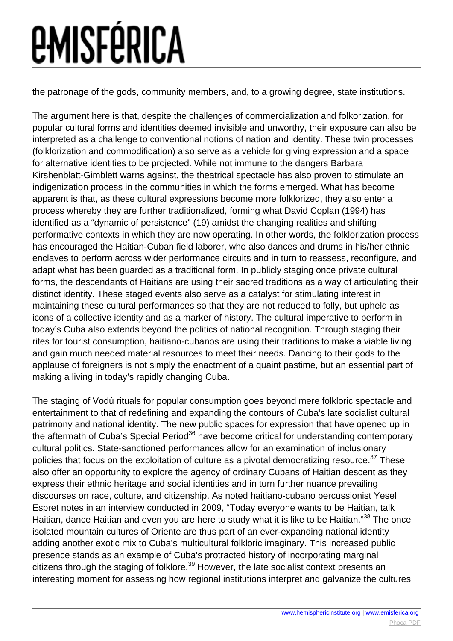the patronage of the gods, community members, and, to a growing degree, state institutions.

The argument here is that, despite the challenges of commercialization and folkorization, for popular cultural forms and identities deemed invisible and unworthy, their exposure can also be interpreted as a challenge to conventional notions of nation and identity. These twin processes (folklorization and commodification) also serve as a vehicle for giving expression and a space for alternative identities to be projected. While not immune to the dangers Barbara Kirshenblatt-Gimblett warns against, the theatrical spectacle has also proven to stimulate an indigenization process in the communities in which the forms emerged. What has become apparent is that, as these cultural expressions become more folklorized, they also enter a process whereby they are further traditionalized, forming what David Coplan (1994) has identified as a "dynamic of persistence" (19) amidst the changing realities and shifting performative contexts in which they are now operating. In other words, the folklorization process has encouraged the Haitian-Cuban field laborer, who also dances and drums in his/her ethnic enclaves to perform across wider performance circuits and in turn to reassess, reconfigure, and adapt what has been guarded as a traditional form. In publicly staging once private cultural forms, the descendants of Haitians are using their sacred traditions as a way of articulating their distinct identity. These staged events also serve as a catalyst for stimulating interest in maintaining these cultural performances so that they are not reduced to folly, but upheld as icons of a collective identity and as a marker of history. The cultural imperative to perform in today's Cuba also extends beyond the politics of national recognition. Through staging their rites for tourist consumption, haitiano-cubanos are using their traditions to make a viable living and gain much needed material resources to meet their needs. Dancing to their gods to the applause of foreigners is not simply the enactment of a quaint pastime, but an essential part of making a living in today's rapidly changing Cuba.

The staging of Vodú rituals for popular consumption goes beyond mere folkloric spectacle and entertainment to that of redefining and expanding the contours of Cuba's late socialist cultural patrimony and national identity. The new public spaces for expression that have opened up in the aftermath of Cuba's Special Period<sup>36</sup> have become critical for understanding contemporary cultural politics. State-sanctioned performances allow for an examination of inclusionary policies that focus on the exploitation of culture as a pivotal democratizing resource.<sup>37</sup> These also offer an opportunity to explore the agency of ordinary Cubans of Haitian descent as they express their ethnic heritage and social identities and in turn further nuance prevailing discourses on race, culture, and citizenship. As noted haitiano-cubano percussionist Yesel Espret notes in an interview conducted in 2009, "Today everyone wants to be Haitian, talk Haitian, dance Haitian and even you are here to study what it is like to be Haitian."<sup>38</sup> The once isolated mountain cultures of Oriente are thus part of an ever-expanding national identity adding another exotic mix to Cuba's multicultural folkloric imaginary. This increased public presence stands as an example of Cuba's protracted history of incorporating marginal citizens through the staging of folklore.<sup>39</sup> However, the late socialist context presents an interesting moment for assessing how regional institutions interpret and galvanize the cultures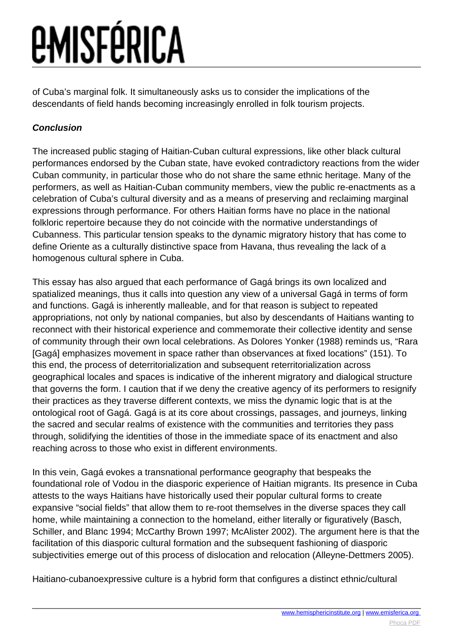of Cuba's marginal folk. It simultaneously asks us to consider the implications of the descendants of field hands becoming increasingly enrolled in folk tourism projects.

#### **Conclusion**

The increased public staging of Haitian-Cuban cultural expressions, like other black cultural performances endorsed by the Cuban state, have evoked contradictory reactions from the wider Cuban community, in particular those who do not share the same ethnic heritage. Many of the performers, as well as Haitian-Cuban community members, view the public re-enactments as a celebration of Cuba's cultural diversity and as a means of preserving and reclaiming marginal expressions through performance. For others Haitian forms have no place in the national folkloric repertoire because they do not coincide with the normative understandings of Cubanness. This particular tension speaks to the dynamic migratory history that has come to define Oriente as a culturally distinctive space from Havana, thus revealing the lack of a homogenous cultural sphere in Cuba.

This essay has also argued that each performance of Gagá brings its own localized and spatialized meanings, thus it calls into question any view of a universal Gagá in terms of form and functions. Gagá is inherently malleable, and for that reason is subject to repeated appropriations, not only by national companies, but also by descendants of Haitians wanting to reconnect with their historical experience and commemorate their collective identity and sense of community through their own local celebrations. As Dolores Yonker (1988) reminds us, "Rara [Gagá] emphasizes movement in space rather than observances at fixed locations" (151). To this end, the process of deterritorialization and subsequent reterritorialization across geographical locales and spaces is indicative of the inherent migratory and dialogical structure that governs the form. I caution that if we deny the creative agency of its performers to resignify their practices as they traverse different contexts, we miss the dynamic logic that is at the ontological root of Gagá. Gagá is at its core about crossings, passages, and journeys, linking the sacred and secular realms of existence with the communities and territories they pass through, solidifying the identities of those in the immediate space of its enactment and also reaching across to those who exist in different environments.

In this vein, Gagá evokes a transnational performance geography that bespeaks the foundational role of Vodou in the diasporic experience of Haitian migrants. Its presence in Cuba attests to the ways Haitians have historically used their popular cultural forms to create expansive "social fields" that allow them to re-root themselves in the diverse spaces they call home, while maintaining a connection to the homeland, either literally or figuratively (Basch, Schiller, and Blanc 1994; McCarthy Brown 1997; McAlister 2002). The argument here is that the facilitation of this diasporic cultural formation and the subsequent fashioning of diasporic subjectivities emerge out of this process of dislocation and relocation (Alleyne-Dettmers 2005).

Haitiano-cubanoexpressive culture is a hybrid form that configures a distinct ethnic/cultural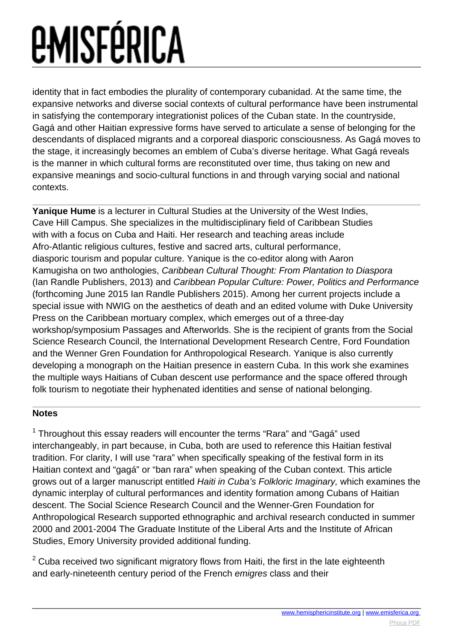identity that in fact embodies the plurality of contemporary cubanidad. At the same time, the expansive networks and diverse social contexts of cultural performance have been instrumental in satisfying the contemporary integrationist polices of the Cuban state. In the countryside, Gagá and other Haitian expressive forms have served to articulate a sense of belonging for the descendants of displaced migrants and a corporeal diasporic consciousness. As Gagá moves to the stage, it increasingly becomes an emblem of Cuba's diverse heritage. What Gagá reveals is the manner in which cultural forms are reconstituted over time, thus taking on new and expansive meanings and socio-cultural functions in and through varying social and national contexts.

**Yanique Hume** is a lecturer in Cultural Studies at the University of the West Indies, Cave Hill Campus. She specializes in the multidisciplinary field of Caribbean Studies with with a focus on Cuba and Haiti. Her research and teaching areas include Afro-Atlantic religious cultures, festive and sacred arts, cultural performance, diasporic tourism and popular culture. Yanique is the co-editor along with Aaron Kamugisha on two anthologies, Caribbean Cultural Thought: From Plantation to Diaspora (Ian Randle Publishers, 2013) and Caribbean Popular Culture: Power, Politics and Performance (forthcoming June 2015 Ian Randle Publishers 2015). Among her current projects include a special issue with NWIG on the aesthetics of death and an edited volume with Duke University Press on the Caribbean mortuary complex, which emerges out of a three-day workshop/symposium Passages and Afterworlds. She is the recipient of grants from the Social Science Research Council, the International Development Research Centre, Ford Foundation and the Wenner Gren Foundation for Anthropological Research. Yanique is also currently developing a monograph on the Haitian presence in eastern Cuba. In this work she examines the multiple ways Haitians of Cuban descent use performance and the space offered through folk tourism to negotiate their hyphenated identities and sense of national belonging.

#### **Notes**

 $1$  Throughout this essay readers will encounter the terms "Rara" and "Gagá" used interchangeably, in part because, in Cuba, both are used to reference this Haitian festival tradition. For clarity, I will use "rara" when specifically speaking of the festival form in its Haitian context and "gagá" or "ban rara" when speaking of the Cuban context. This article grows out of a larger manuscript entitled Haiti in Cuba's Folkloric Imaginary, which examines the dynamic interplay of cultural performances and identity formation among Cubans of Haitian descent. The Social Science Research Council and the Wenner-Gren Foundation for Anthropological Research supported ethnographic and archival research conducted in summer 2000 and 2001-2004 The Graduate Institute of the Liberal Arts and the Institute of African Studies, Emory University provided additional funding.

 $2$  Cuba received two significant migratory flows from Haiti, the first in the late eighteenth and early-nineteenth century period of the French emigres class and their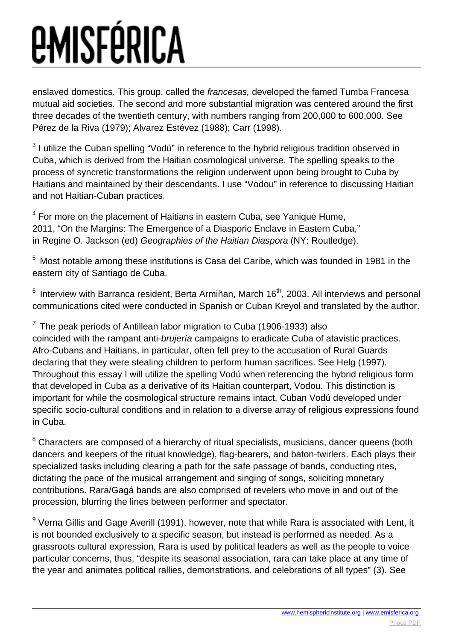enslaved domestics. This group, called the francesas, developed the famed Tumba Francesa mutual aid societies. The second and more substantial migration was centered around the first three decades of the twentieth century, with numbers ranging from 200,000 to 600,000. See Pérez de la Riva (1979); Alvarez Estévez (1988); Carr (1998).

 $3$  I utilize the Cuban spelling "Vodú" in reference to the hybrid religious tradition observed in Cuba, which is derived from the Haitian cosmological universe. The spelling speaks to the process of syncretic transformations the religion underwent upon being brought to Cuba by Haitians and maintained by their descendants. I use "Vodou" in reference to discussing Haitian and not Haitian-Cuban practices.

 $4$  For more on the placement of Haitians in eastern Cuba, see Yanique Hume, 2011, "On the Margins: The Emergence of a Diasporic Enclave in Eastern Cuba," in Regine O. Jackson (ed) Geographies of the Haitian Diaspora (NY: Routledge).

<sup>5</sup> Most notable among these institutions is Casa del Caribe, which was founded in 1981 in the eastern city of Santiago de Cuba.

 $6$  Interview with Barranca resident, Berta Armiñan, March 16<sup>th</sup>, 2003. All interviews and personal communications cited were conducted in Spanish or Cuban Kreyol and translated by the author.

 $7$  The peak periods of Antillean labor migration to Cuba (1906-1933) also coincided with the rampant anti-brujería campaigns to eradicate Cuba of atavistic practices. Afro-Cubans and Haitians, in particular, often fell prey to the accusation of Rural Guards declaring that they were stealing children to perform human sacrifices. See Helg (1997). Throughout this essay I will utilize the spelling Vodú when referencing the hybrid religious form that developed in Cuba as a derivative of its Haitian counterpart, Vodou. This distinction is important for while the cosmological structure remains intact, Cuban Vodú developed under specific socio-cultural conditions and in relation to a diverse array of religious expressions found in Cuba.

<sup>8</sup> Characters are composed of a hierarchy of ritual specialists, musicians, dancer queens (both dancers and keepers of the ritual knowledge), flag-bearers, and baton-twirlers. Each plays their specialized tasks including clearing a path for the safe passage of bands, conducting rites, dictating the pace of the musical arrangement and singing of songs, soliciting monetary contributions. Rara/Gagá bands are also comprised of revelers who move in and out of the procession, blurring the lines between performer and spectator.

 $^9$  Verna Gillis and Gage Averill (1991), however, note that while Rara is associated with Lent, it is not bounded exclusively to a specific season, but instead is performed as needed. As a grassroots cultural expression, Rara is used by political leaders as well as the people to voice particular concerns, thus, "despite its seasonal association, rara can take place at any time of the year and animates political rallies, demonstrations, and celebrations of all types" (3). See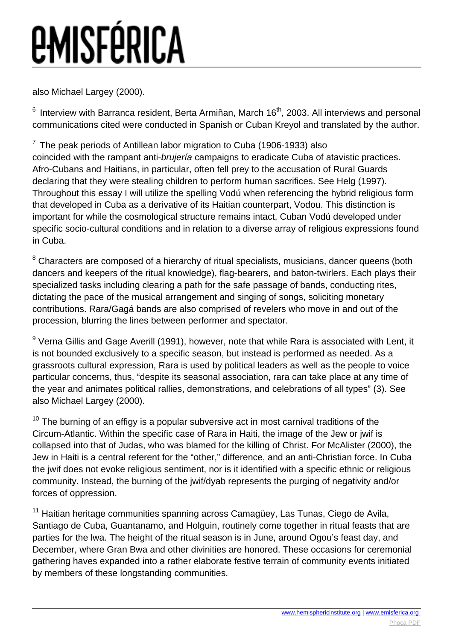also Michael Largey (2000).

 $6$  Interview with Barranca resident, Berta Armiñan, March 16<sup>th</sup>, 2003. All interviews and personal communications cited were conducted in Spanish or Cuban Kreyol and translated by the author.

 $7$  The peak periods of Antillean labor migration to Cuba (1906-1933) also coincided with the rampant anti-brujería campaigns to eradicate Cuba of atavistic practices. Afro-Cubans and Haitians, in particular, often fell prey to the accusation of Rural Guards declaring that they were stealing children to perform human sacrifices. See Helg (1997). Throughout this essay I will utilize the spelling Vodú when referencing the hybrid religious form that developed in Cuba as a derivative of its Haitian counterpart, Vodou. This distinction is important for while the cosmological structure remains intact, Cuban Vodú developed under specific socio-cultural conditions and in relation to a diverse array of religious expressions found in Cuba.

<sup>8</sup> Characters are composed of a hierarchy of ritual specialists, musicians, dancer queens (both dancers and keepers of the ritual knowledge), flag-bearers, and baton-twirlers. Each plays their specialized tasks including clearing a path for the safe passage of bands, conducting rites, dictating the pace of the musical arrangement and singing of songs, soliciting monetary contributions. Rara/Gagá bands are also comprised of revelers who move in and out of the procession, blurring the lines between performer and spectator.

 $^9$  Verna Gillis and Gage Averill (1991), however, note that while Rara is associated with Lent, it is not bounded exclusively to a specific season, but instead is performed as needed. As a grassroots cultural expression, Rara is used by political leaders as well as the people to voice particular concerns, thus, "despite its seasonal association, rara can take place at any time of the year and animates political rallies, demonstrations, and celebrations of all types" (3). See also Michael Largey (2000).

 $10$  The burning of an effigy is a popular subversive act in most carnival traditions of the Circum-Atlantic. Within the specific case of Rara in Haiti, the image of the Jew or jwif is collapsed into that of Judas, who was blamed for the killing of Christ. For McAlister (2000), the Jew in Haiti is a central referent for the "other," difference, and an anti-Christian force. In Cuba the jwif does not evoke religious sentiment, nor is it identified with a specific ethnic or religious community. Instead, the burning of the jwif/dyab represents the purging of negativity and/or forces of oppression.

<sup>11</sup> Haitian heritage communities spanning across Camagüey, Las Tunas, Ciego de Avila, Santiago de Cuba, Guantanamo, and Holguin, routinely come together in ritual feasts that are parties for the lwa. The height of the ritual season is in June, around Ogou's feast day, and December, where Gran Bwa and other divinities are honored. These occasions for ceremonial gathering haves expanded into a rather elaborate festive terrain of community events initiated by members of these longstanding communities.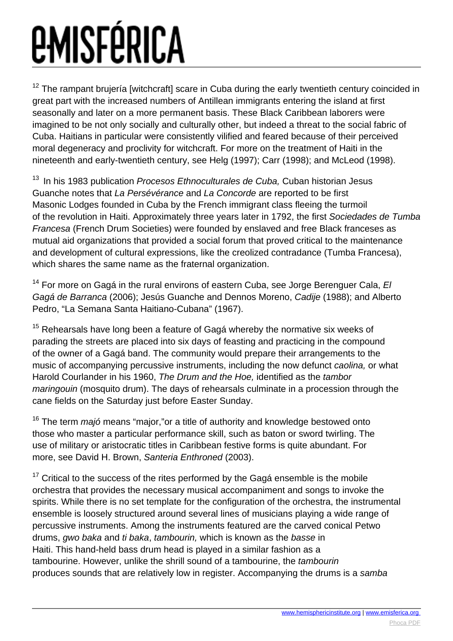$12$  The rampant brujería [witchcraft] scare in Cuba during the early twentieth century coincided in great part with the increased numbers of Antillean immigrants entering the island at first seasonally and later on a more permanent basis. These Black Caribbean laborers were imagined to be not only socially and culturally other, but indeed a threat to the social fabric of Cuba. Haitians in particular were consistently vilified and feared because of their perceived moral degeneracy and proclivity for witchcraft. For more on the treatment of Haiti in the nineteenth and early-twentieth century, see Helg (1997); Carr (1998); and McLeod (1998).

 $13$  In his 1983 publication Procesos Ethnoculturales de Cuba, Cuban historian Jesus Guanche notes that La Persévérance and La Concorde are reported to be first Masonic Lodges founded in Cuba by the French immigrant class fleeing the turmoil of the revolution in Haiti. Approximately three years later in 1792, the first Sociedades de Tumba Francesa (French Drum Societies) were founded by enslaved and free Black franceses as mutual aid organizations that provided a social forum that proved critical to the maintenance and development of cultural expressions, like the creolized contradance (Tumba Francesa), which shares the same name as the fraternal organization.

<sup>14</sup> For more on Gagá in the rural environs of eastern Cuba, see Jorge Berenguer Cala,  $EI$ Gagá de Barranca (2006); Jesús Guanche and Dennos Moreno, Cadije (1988); and Alberto Pedro, "La Semana Santa Haitiano-Cubana" (1967).

 $15$  Rehearsals have long been a feature of Gagá whereby the normative six weeks of parading the streets are placed into six days of feasting and practicing in the compound of the owner of a Gagá band. The community would prepare their arrangements to the music of accompanying percussive instruments, including the now defunct caolina, or what Harold Courlander in his 1960, The Drum and the Hoe, identified as the tambor maringouin (mosquito drum). The days of rehearsals culminate in a procession through the cane fields on the Saturday just before Easter Sunday.

 $16$  The term *majó* means "major," or a title of authority and knowledge bestowed onto those who master a particular performance skill, such as baton or sword twirling. The use of military or aristocratic titles in Caribbean festive forms is quite abundant. For more, see David H. Brown, Santeria Enthroned (2003).

 $17$  Critical to the success of the rites performed by the Gaga ensemble is the mobile orchestra that provides the necessary musical accompaniment and songs to invoke the spirits. While there is no set template for the configuration of the orchestra, the instrumental ensemble is loosely structured around several lines of musicians playing a wide range of percussive instruments. Among the instruments featured are the carved conical Petwo drums, gwo baka and ti baka, tambourin, which is known as the basse in Haiti. This hand-held bass drum head is played in a similar fashion as a tambourine. However, unlike the shrill sound of a tambourine, the tambourin produces sounds that are relatively low in register. Accompanying the drums is a samba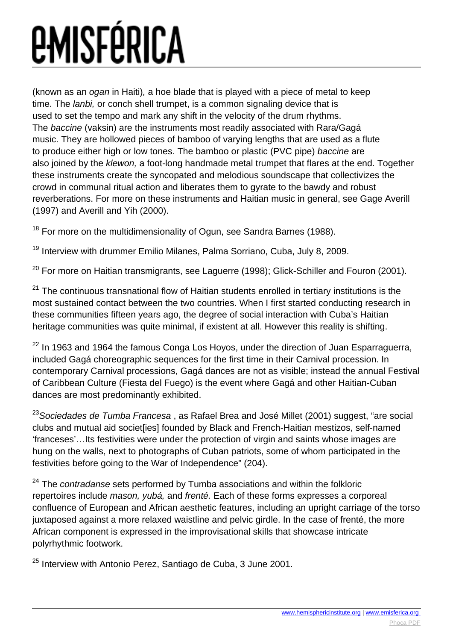(known as an ogan in Haiti), a hoe blade that is played with a piece of metal to keep time. The lanbi, or conch shell trumpet, is a common signaling device that is used to set the tempo and mark any shift in the velocity of the drum rhythms. The baccine (vaksin) are the instruments most readily associated with Rara/Gagá music. They are hollowed pieces of bamboo of varying lengths that are used as a flute to produce either high or low tones. The bamboo or plastic (PVC pipe) baccine are also joined by the klewon, a foot-long handmade metal trumpet that flares at the end. Together these instruments create the syncopated and melodious soundscape that collectivizes the crowd in communal ritual action and liberates them to gyrate to the bawdy and robust reverberations. For more on these instruments and Haitian music in general, see Gage Averill (1997) and Averill and Yih (2000).

 $18$  For more on the multidimensionality of Ogun, see Sandra Barnes (1988).

<sup>19</sup> Interview with drummer Emilio Milanes, Palma Sorriano, Cuba, July 8, 2009.

 $20$  For more on Haitian transmigrants, see Laguerre (1998); Glick-Schiller and Fouron (2001).

<sup>21</sup> The continuous transnational flow of Haitian students enrolled in tertiary institutions is the most sustained contact between the two countries. When I first started conducting research in these communities fifteen years ago, the degree of social interaction with Cuba's Haitian heritage communities was quite minimal, if existent at all. However this reality is shifting.

 $22$  In 1963 and 1964 the famous Conga Los Hoyos, under the direction of Juan Esparraguerra, included Gagá choreographic sequences for the first time in their Carnival procession. In contemporary Carnival processions, Gagá dances are not as visible; instead the annual Festival of Caribbean Culture (Fiesta del Fuego) is the event where Gagá and other Haitian-Cuban dances are most predominantly exhibited.

 $^{23}$ Sociedades de Tumba Francesa, as Rafael Brea and José Millet (2001) suggest, "are social clubs and mutual aid societ[ies] founded by Black and French-Haitian mestizos, self-named 'franceses'…Its festivities were under the protection of virgin and saints whose images are hung on the walls, next to photographs of Cuban patriots, some of whom participated in the festivities before going to the War of Independence" (204).

 $24$  The contradanse sets performed by Tumba associations and within the folkloric repertoires include mason, yubá, and frenté. Each of these forms expresses a corporeal confluence of European and African aesthetic features, including an upright carriage of the torso juxtaposed against a more relaxed waistline and pelvic girdle. In the case of frenté, the more African component is expressed in the improvisational skills that showcase intricate polyrhythmic footwork.

<sup>25</sup> Interview with Antonio Perez, Santiago de Cuba, 3 June 2001.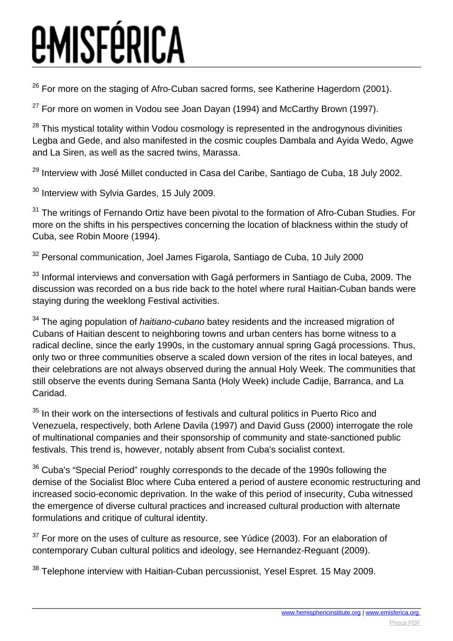$26$  For more on the staging of Afro-Cuban sacred forms, see Katherine Hagerdorn (2001).

 $27$  For more on women in Vodou see Joan Dayan (1994) and McCarthy Brown (1997).

 $28$  This mystical totality within Vodou cosmology is represented in the androgynous divinities Legba and Gede, and also manifested in the cosmic couples Dambala and Ayida Wedo, Agwe and La Siren, as well as the sacred twins, Marassa.

<sup>29</sup> Interview with José Millet conducted in Casa del Caribe, Santiago de Cuba, 18 July 2002.

<sup>30</sup> Interview with Sylvia Gardes, 15 July 2009.

 $31$  The writings of Fernando Ortiz have been pivotal to the formation of Afro-Cuban Studies. For more on the shifts in his perspectives concerning the location of blackness within the study of Cuba, see Robin Moore (1994).

<sup>32</sup> Personal communication, Joel James Figarola, Santiago de Cuba, 10 July 2000

<sup>33</sup> Informal interviews and conversation with Gagá performers in Santiago de Cuba, 2009. The discussion was recorded on a bus ride back to the hotel where rural Haitian-Cuban bands were staying during the weeklong Festival activities.

 $34$  The aging population of *haitiano-cubano* batey residents and the increased migration of Cubans of Haitian descent to neighboring towns and urban centers has borne witness to a radical decline, since the early 1990s, in the customary annual spring Gagá processions. Thus, only two or three communities observe a scaled down version of the rites in local bateyes, and their celebrations are not always observed during the annual Holy Week. The communities that still observe the events during Semana Santa (Holy Week) include Cadije, Barranca, and La Caridad.

 $35$  In their work on the intersections of festivals and cultural politics in Puerto Rico and Venezuela, respectively, both Arlene Davila (1997) and David Guss (2000) interrogate the role of multinational companies and their sponsorship of community and state-sanctioned public festivals. This trend is, however, notably absent from Cuba's socialist context.

 $36$  Cuba's "Special Period" roughly corresponds to the decade of the 1990s following the demise of the Socialist Bloc where Cuba entered a period of austere economic restructuring and increased socio-economic deprivation. In the wake of this period of insecurity, Cuba witnessed the emergence of diverse cultural practices and increased cultural production with alternate formulations and critique of cultural identity.

 $37$  For more on the uses of culture as resource, see Yúdice (2003). For an elaboration of contemporary Cuban cultural politics and ideology, see Hernandez-Reguant (2009).

<sup>38</sup> Telephone interview with Haitian-Cuban percussionist, Yesel Espret, 15 May 2009.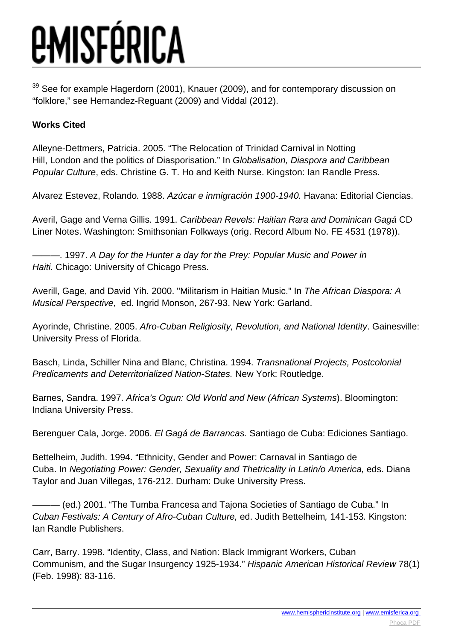See for example Hagerdorn (2001), Knauer (2009), and for contemporary discussion on "folklore," see Hernandez-Reguant (2009) and Viddal (2012).

#### **Works Cited**

Alleyne-Dettmers, Patricia. 2005. "The Relocation of Trinidad Carnival in Notting Hill, London and the politics of Diasporisation." In Globalisation, Diaspora and Caribbean Popular Culture, eds. Christine G. T. Ho and Keith Nurse. Kingston: Ian Randle Press.

Alvarez Estevez, Rolando. 1988. Azúcar e inmigración 1900-1940. Havana: Editorial Ciencias.

Averil, Gage and Verna Gillis. 1991. Caribbean Revels: Haitian Rara and Dominican Gagá CD Liner Notes. Washington: Smithsonian Folkways (orig. Record Album No. FE 4531 (1978)).

-, 1997. A Day for the Hunter a day for the Prey: Popular Music and Power in Haiti. Chicago: University of Chicago Press.

Averill, Gage, and David Yih. 2000. "Militarism in Haitian Music." In The African Diaspora: A Musical Perspective, ed. Ingrid Monson, 267-93. New York: Garland.

Ayorinde, Christine. 2005. Afro-Cuban Religiosity, Revolution, and National Identity. Gainesville: University Press of Florida.

Basch, Linda, Schiller Nina and Blanc, Christina. 1994. Transnational Projects, Postcolonial Predicaments and Deterritorialized Nation-States. New York: Routledge.

Barnes, Sandra. 1997. Africa's Ogun: Old World and New (African Systems). Bloomington: Indiana University Press.

Berenguer Cala, Jorge. 2006. El Gagá de Barrancas. Santiago de Cuba: Ediciones Santiago.

Bettelheim, Judith. 1994. "Ethnicity, Gender and Power: Carnaval in Santiago de Cuba. In Negotiating Power: Gender, Sexuality and Thetricality in Latin/o America, eds. Diana Taylor and Juan Villegas, 176-212. Durham: Duke University Press.

– (ed.) 2001. "The Tumba Francesa and Tajona Societies of Santiago de Cuba." In Cuban Festivals: A Century of Afro-Cuban Culture, ed. Judith Bettelheim, 141-153. Kingston: Ian Randle Publishers.

Carr, Barry. 1998. "Identity, Class, and Nation: Black Immigrant Workers, Cuban Communism, and the Sugar Insurgency 1925-1934." Hispanic American Historical Review 78(1) (Feb. 1998): 83-116.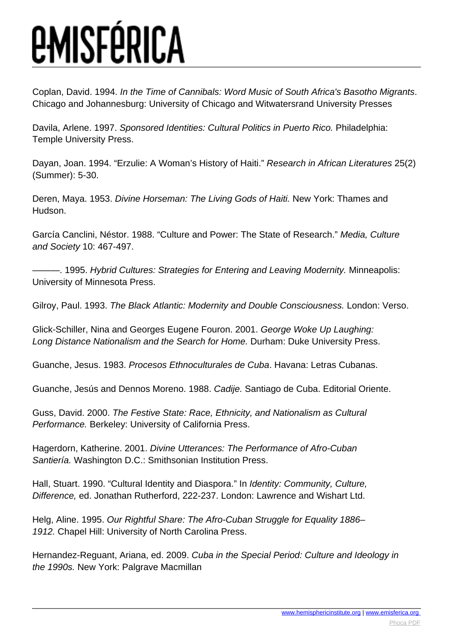Coplan, David. 1994. In the Time of Cannibals: Word Music of South Africa's Basotho Migrants. Chicago and Johannesburg: University of Chicago and Witwatersrand University Presses

Davila, Arlene. 1997. Sponsored Identities: Cultural Politics in Puerto Rico. Philadelphia: Temple University Press.

Dayan, Joan. 1994. "Erzulie: A Woman's History of Haiti." Research in African Literatures 25(2) (Summer): 5-30.

Deren, Maya. 1953. Divine Horseman: The Living Gods of Haiti. New York: Thames and Hudson.

García Canclini, Néstor. 1988. "Culture and Power: The State of Research." Media, Culture and Society 10: 467-497.

 $-$ . 1995. Hybrid Cultures: Strategies for Entering and Leaving Modernity. Minneapolis: University of Minnesota Press.

Gilroy, Paul. 1993. The Black Atlantic: Modernity and Double Consciousness. London: Verso.

Glick-Schiller, Nina and Georges Eugene Fouron. 2001. George Woke Up Laughing: Long Distance Nationalism and the Search for Home. Durham: Duke University Press.

Guanche, Jesus. 1983. Procesos Ethnoculturales de Cuba. Havana: Letras Cubanas.

Guanche, Jesús and Dennos Moreno. 1988. Cadije. Santiago de Cuba. Editorial Oriente.

Guss, David. 2000. The Festive State: Race, Ethnicity, and Nationalism as Cultural Performance. Berkeley: University of California Press.

Hagerdorn, Katherine. 2001. Divine Utterances: The Performance of Afro-Cuban Santiería. Washington D.C.: Smithsonian Institution Press.

Hall, Stuart. 1990. "Cultural Identity and Diaspora." In Identity: Community, Culture, Difference, ed. Jonathan Rutherford, 222-237. London: Lawrence and Wishart Ltd.

Helg, Aline. 1995. Our Rightful Share: The Afro-Cuban Struggle for Equality 1886– 1912. Chapel Hill: University of North Carolina Press.

Hernandez-Reguant, Ariana, ed. 2009. Cuba in the Special Period: Culture and Ideology in the 1990s. New York: Palgrave Macmillan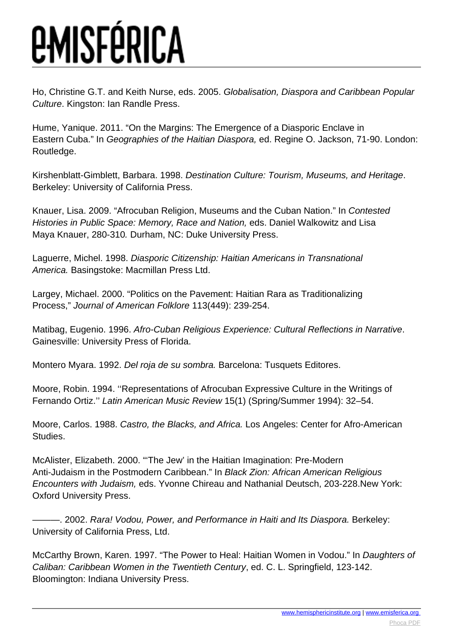Ho, Christine G.T. and Keith Nurse, eds. 2005. Globalisation, Diaspora and Caribbean Popular Culture. Kingston: Ian Randle Press.

Hume, Yanique. 2011. "On the Margins: The Emergence of a Diasporic Enclave in Eastern Cuba." In Geographies of the Haitian Diaspora, ed. Regine O. Jackson, 71-90. London: Routledge.

Kirshenblatt-Gimblett, Barbara. 1998. Destination Culture: Tourism, Museums, and Heritage. Berkeley: University of California Press.

Knauer, Lisa. 2009. "Afrocuban Religion, Museums and the Cuban Nation." In Contested Histories in Public Space: Memory, Race and Nation, eds. Daniel Walkowitz and Lisa Maya Knauer, 280-310. Durham, NC: Duke University Press.

Laguerre, Michel. 1998. Diasporic Citizenship: Haitian Americans in Transnational America. Basingstoke: Macmillan Press Ltd.

Largey, Michael. 2000. "Politics on the Pavement: Haitian Rara as Traditionalizing Process," Journal of American Folklore 113(449): 239-254.

Matibag, Eugenio. 1996. Afro-Cuban Religious Experience: Cultural Reflections in Narrative. Gainesville: University Press of Florida.

Montero Myara. 1992. Del roja de su sombra. Barcelona: Tusquets Editores.

Moore, Robin. 1994. ''Representations of Afrocuban Expressive Culture in the Writings of Fernando Ortiz.'' Latin American Music Review 15(1) (Spring/Summer 1994): 32–54.

Moore, Carlos. 1988. Castro, the Blacks, and Africa. Los Angeles: Center for Afro-American Studies.

McAlister, Elizabeth. 2000. "'The Jew' in the Haitian Imagination: Pre-Modern Anti-Judaism in the Postmodern Caribbean." In Black Zion: African American Religious Encounters with Judaism, eds. Yvonne Chireau and Nathanial Deutsch, 203-228.New York: Oxford University Press.

-. 2002. Rara! Vodou, Power, and Performance in Haiti and Its Diaspora. Berkeley: University of California Press, Ltd.

McCarthy Brown, Karen. 1997. "The Power to Heal: Haitian Women in Vodou." In Daughters of Caliban: Caribbean Women in the Twentieth Century, ed. C. L. Springfield, 123-142. Bloomington: Indiana University Press.